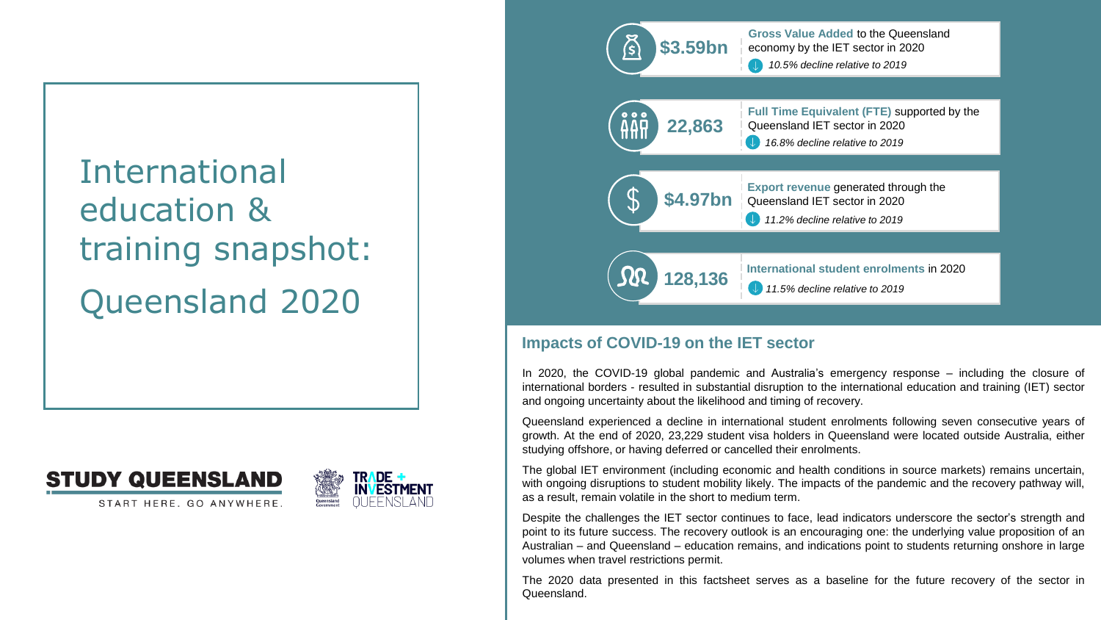# International education & training snapshot: Queensland 2020







# **Impacts of COVID-19 on the IET sector**

In 2020, the COVID-19 global pandemic and Australia's emergency response – including the closure of international borders - resulted in substantial disruption to the international education and training (IET) sector and ongoing uncertainty about the likelihood and timing of recovery.

Queensland experienced a decline in international student enrolments following seven consecutive years of growth. At the end of 2020, 23,229 student visa holders in Queensland were located outside Australia, either studying offshore, or having deferred or cancelled their enrolments.

The global IET environment (including economic and health conditions in source markets) remains uncertain, with ongoing disruptions to student mobility likely. The impacts of the pandemic and the recovery pathway will, as a result, remain volatile in the short to medium term.

Despite the challenges the IET sector continues to face, lead indicators underscore the sector's strength and point to its future success. The recovery outlook is an encouraging one: the underlying value proposition of an Australian – and Queensland – education remains, and indications point to students returning onshore in large volumes when travel restrictions permit.

The 2020 data presented in this factsheet serves as a baseline for the future recovery of the sector in Queensland.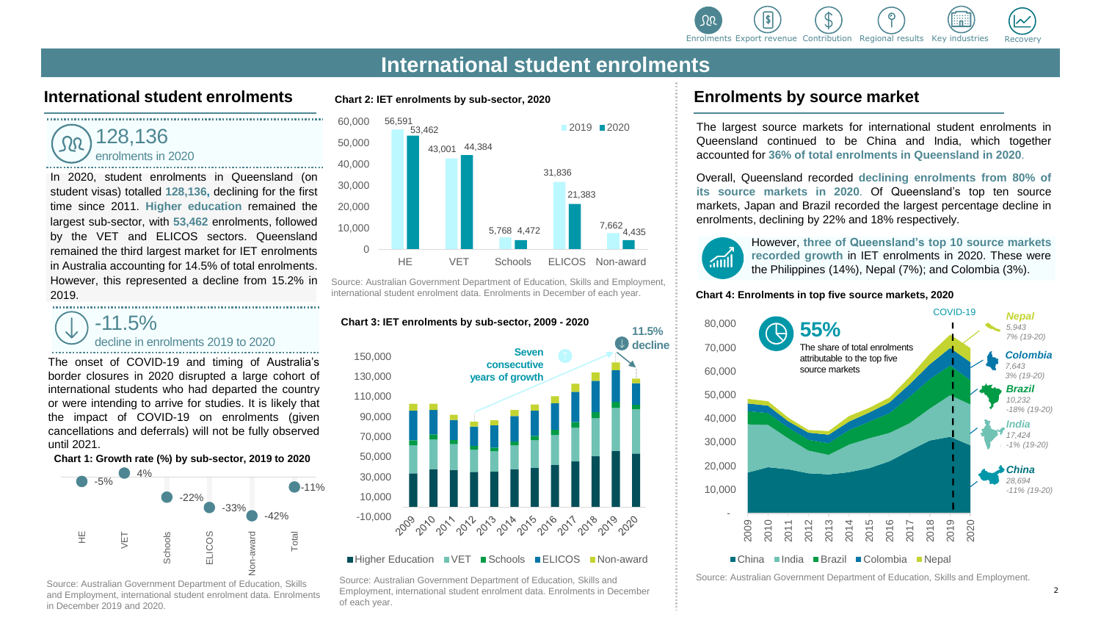

#### **International student enrolments Chart 2: IET enrolments by sub-sector, 2020 Enrolments by source market**

128,136 enrolments in 2020 

In 2020, student enrolments in Queensland (on student visas) totalled **128,136,** declining for the first time since 2011. **Higher education** remained the largest sub-sector, with **53,462** enrolments, followed by the VET and ELICOS sectors. Queensland remained the third largest market for IET enrolments in Australia accounting for 14.5% of total enrolments. However, this represented a decline from 15.2% in 2019. 

# -11.5% decline in enrolments 2019 to 2020

The onset of COVID-19 and timing of Australia's border closures in 2020 disrupted a large cohort of international students who had departed the country or were intending to arrive for studies. It is likely that the impact of COVID-19 on enrolments (given cancellations and deferrals) will not be fully observed until 2021.

#### **Chart 1: Growth rate (%) by sub-sector, 2019 to 2020**



and Employment, international student enrolment data. Enrolments in December 2019 and 2020.



Source: Australian Government Department of Education, Skills and Employment, international student enrolment data. Enrolments in December of each year.



■Higher Education ■VET ■Schools ■ELICOS ■Non-award

Source: Australian Government Department of Education, Skills and Employment, international student enrolment data. Enrolments in December of each year.

The largest source markets for international student enrolments in Queensland continued to be China and India, which together accounted for **36% of total enrolments in Queensland in 2020**.

Overall, Queensland recorded **declining enrolments from 80% of its source markets in 2020**. Of Queensland's top ten source markets, Japan and Brazil recorded the largest percentage decline in enrolments, declining by 22% and 18% respectively.

However, **three of Queensland's top 10 source markets recorded growth** in IET enrolments in 2020. These were the Philippines (14%), Nepal (7%); and Colombia (3%).

#### **Chart 4: Enrolments in top five source markets, 2020**



Source: Australian Government Department of Education, Skills and Employment.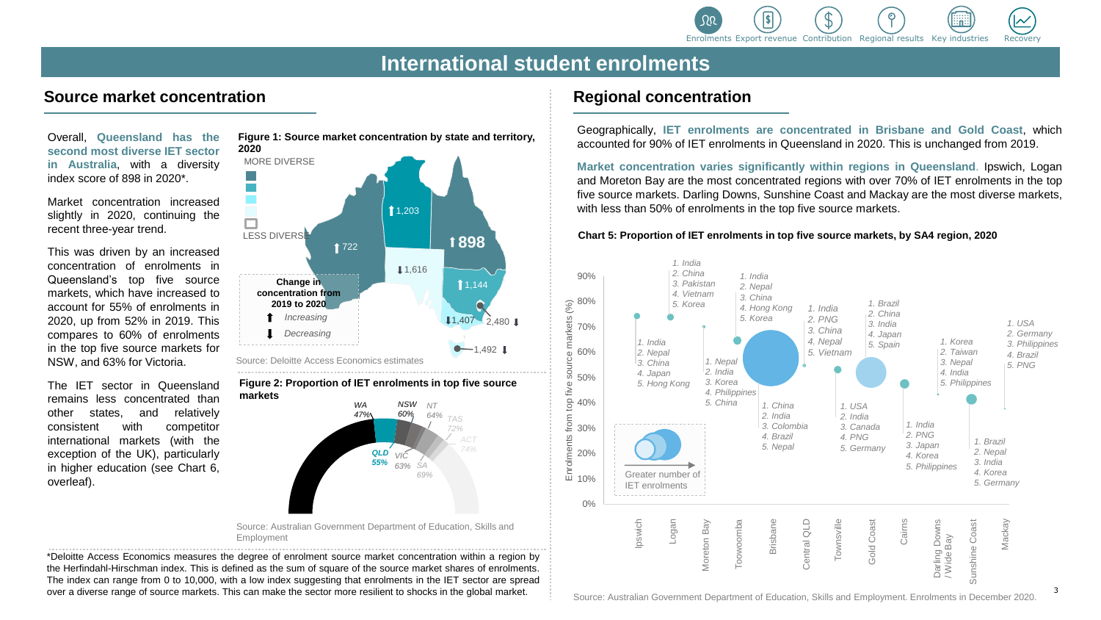

### **Source market concentration**

Overall, **Queensland has the second most diverse IET sector in Australia**, with a diversity index score of 898 in 2020\*.

Market concentration increased slightly in 2020, continuing the recent three-year trend.

This was driven by an increased concentration of enrolments in Queensland's top five source markets, which have increased to account for 55% of enrolments in 2020, up from 52% in 2019. This compares to 60% of enrolments in the top five source markets for NSW, and 63% for Victoria.

The IET sector in Queensland remains less concentrated than other states, and relatively consistent with competitor international markets (with the exception of the UK), particularly in higher education (see Chart 6, overleaf).





**Figure 2: Proportion of IET enrolments in top five source markets**



Source: Australian Government Department of Education, Skills and Employment

\*Deloitte Access Economics measures the degree of enrolment source market concentration within a region by the Herfindahl-Hirschman index. This is defined as the sum of square of the source market shares of enrolments. The index can range from 0 to 10,000, with a low index suggesting that enrolments in the IET sector are spread over a diverse range of source markets. This can make the sector more resilient to shocks in the global market.

#### **Regional concentration**

Geographically, **IET enrolments are concentrated in Brisbane and Gold Coast**, which accounted for 90% of IET enrolments in Queensland in 2020. This is unchanged from 2019.

**Market concentration varies significantly within regions in Queensland**. Ipswich, Logan and Moreton Bay are the most concentrated regions with over 70% of IET enrolments in the top five source markets. Darling Downs, Sunshine Coast and Mackay are the most diverse markets, with less than 50% of enrolments in the top five source markets.

**Chart 5: Proportion of IET enrolments in top five source markets, by SA4 region, 2020**

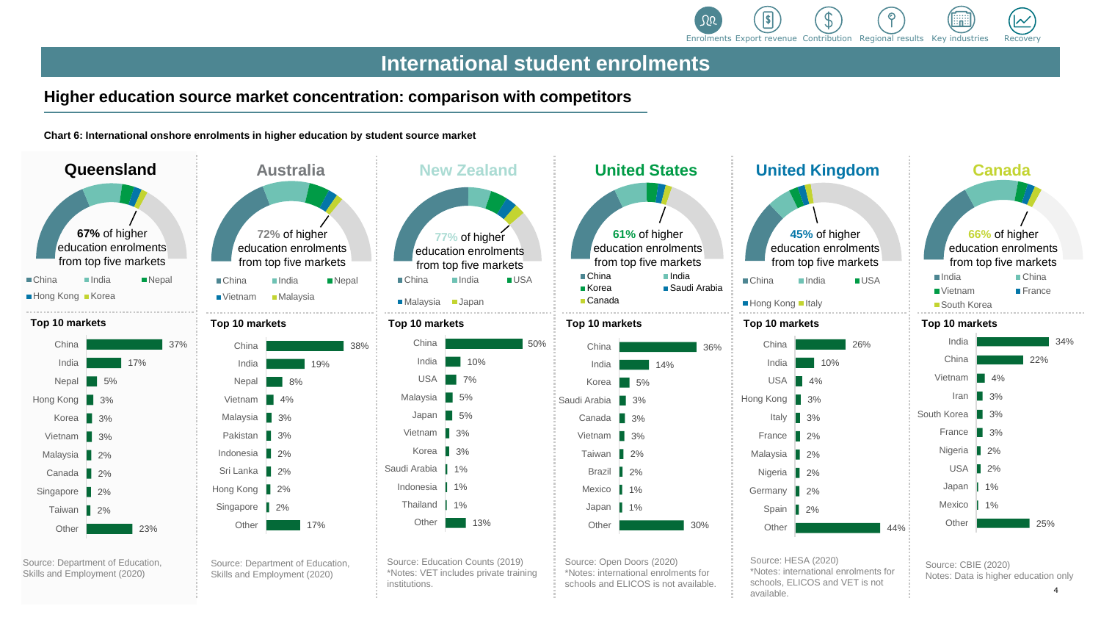

### **Higher education source market concentration: comparison with competitors**

**Chart 6: International onshore enrolments in higher education by student source market** 





|               | Australia<br>72% of higher<br>education enrolments<br>from top five markets |            |              |     |
|---------------|-----------------------------------------------------------------------------|------------|--------------|-----|
|               |                                                                             |            |              |     |
|               | ■China                                                                      | India      | <b>Nepal</b> |     |
|               | ■ Vietnam                                                                   | ■ Malaysia |              |     |
|               | Top 10 markets                                                              |            |              |     |
| $\frac{1}{6}$ | China                                                                       |            |              | 38% |
|               | India                                                                       |            | 19%          |     |
|               | Nepal                                                                       | 8%         |              |     |
|               | Vietnam                                                                     | 4%         |              |     |
|               | Malaysia                                                                    | 3%         |              |     |
|               | Pakistan                                                                    | 3%         |              |     |
|               | Indonesia                                                                   | 2%         |              |     |
|               | Sri Lanka                                                                   | 2%         |              |     |
|               | Hong Kong                                                                   | 2%         |              |     |
|               | Singapore                                                                   | 2%         |              |     |
|               | Other                                                                       |            | 17%          |     |
|               |                                                                             |            |              |     |

Source: Department of Education, Skills and Employment (2020)



Source: Education Counts (2019) \*Notes: VET includes private training institutions.



Source: Open Doors (2020) \*Notes: international enrolments for schools and ELICOS is not available.

| United Kingdom    |                                                                |            |     |
|-------------------|----------------------------------------------------------------|------------|-----|
|                   | 45% of higher<br>education enrolments<br>from top five markets |            |     |
| China             | India                                                          | <b>USA</b> |     |
| Hong Kong ■ Italy |                                                                |            |     |
| op 10 markets     |                                                                |            |     |
| China             |                                                                | 26%        |     |
| India             | 10%                                                            |            |     |
| <b>USA</b>        | 4%                                                             |            |     |
| ong Kong          | 3%                                                             |            |     |
| Italy             | 3%                                                             |            |     |
| France            | 2%                                                             |            |     |
| Malaysia          | 2%                                                             |            |     |
| Nigeria           | 2%                                                             |            |     |
| Germany           | 2%                                                             |            |     |
| Spain             | 2%                                                             |            |     |
| Other             |                                                                |            | 44% |

Source: HESA (2020) \*Notes: international enrolments for schools, ELICOS and VET is not available.



Source: CBIE (2020) Notes: Data is higher education only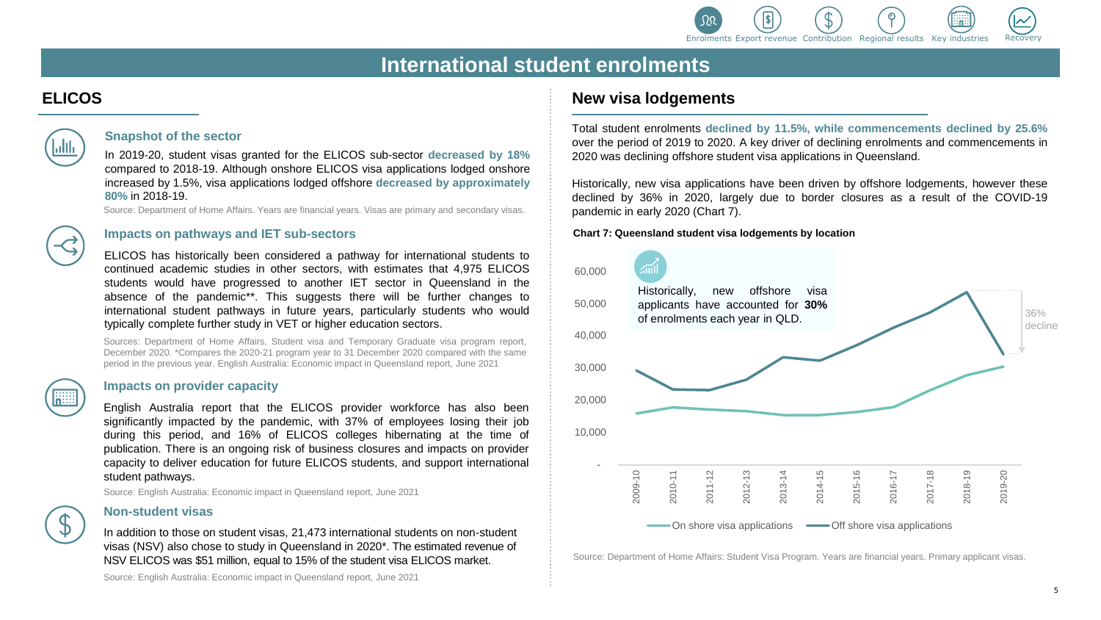

# **ELICOS**



#### **Snapshot of the sector**

In 2019-20, student visas granted for the ELICOS sub-sector **decreased by 18%** compared to 2018-19. Although onshore ELICOS visa applications lodged onshore increased by 1.5%, visa applications lodged offshore **decreased by approximately 80%** in 2018-19.

Source: Department of Home Affairs. Years are financial years. Visas are primary and secondary visas.

#### **Impacts on pathways and IET sub-sectors**

ELICOS has historically been considered a pathway for international students to continued academic studies in other sectors, with estimates that 4,975 ELICOS students would have progressed to another IET sector in Queensland in the absence of the pandemic\*\*. This suggests there will be further changes to international student pathways in future years, particularly students who would typically complete further study in VET or higher education sectors.

Sources: Department of Home Affairs, Student visa and Temporary Graduate visa program report, December 2020. \*Compares the 2020-21 program year to 31 December 2020 compared with the same period in the previous year. English Australia: Economic impact in Queensland report, June 2021

#### **Impacts on provider capacity**

English Australia report that the ELICOS provider workforce has also been significantly impacted by the pandemic, with 37% of employees losing their job during this period, and 16% of ELICOS colleges hibernating at the time of publication. There is an ongoing risk of business closures and impacts on provider capacity to deliver education for future ELICOS students, and support international student pathways.

Source: English Australia: Economic impact in Queensland report, June 2021

#### **Non-student visas**

In addition to those on student visas, 21,473 international students on non-student visas (NSV) also chose to study in Queensland in 2020\*. The estimated revenue of NSV ELICOS was \$51 million, equal to 15% of the student visa ELICOS market.

Source: English Australia: Economic impact in Queensland report, June 2021

#### **New visa lodgements**

Total student enrolments **declined by 11.5%, while commencements declined by 25.6%** over the period of 2019 to 2020. A key driver of declining enrolments and commencements in 2020 was declining offshore student visa applications in Queensland.

Historically, new visa applications have been driven by offshore lodgements, however these declined by 36% in 2020, largely due to border closures as a result of the COVID-19 pandemic in early 2020 (Chart 7).

#### **Chart 7: Queensland student visa lodgements by location**



Source: Department of Home Affairs: Student Visa Program. Years are financial years. Primary applicant visas.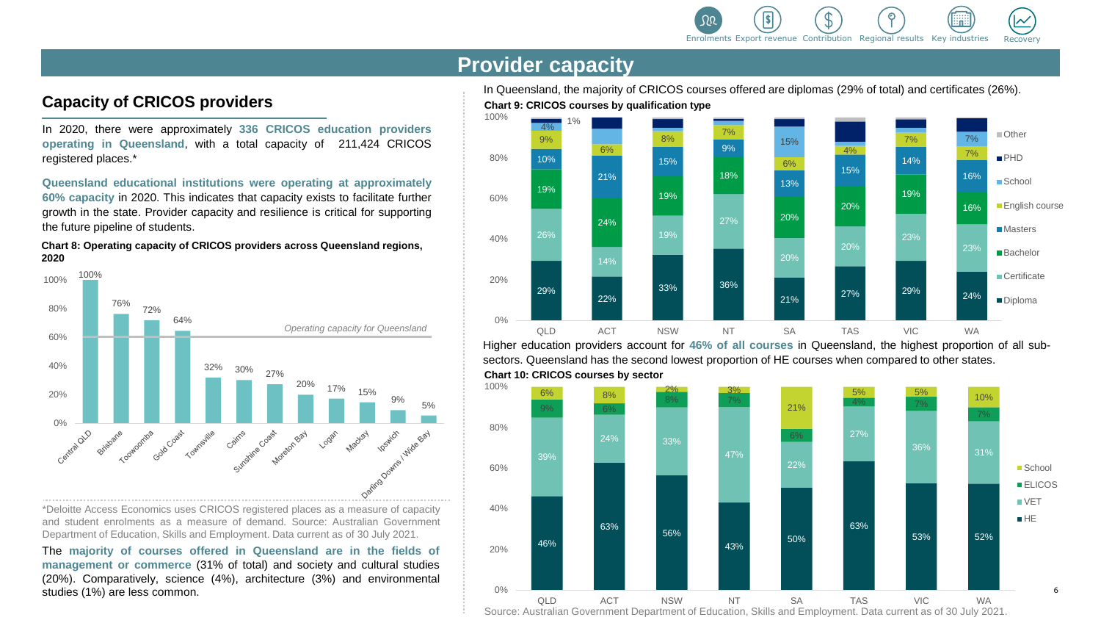

# **Provider capacity**

# **Capacity of CRICOS providers**

In 2020, there were approximately **336 CRICOS education providers operating in Queensland**, with a total capacity of 211,424 CRICOS registered places.\*

**Queensland educational institutions were operating at approximately 60% capacity** in 2020. This indicates that capacity exists to facilitate further growth in the state. Provider capacity and resilience is critical for supporting the future pipeline of students.

**Chart 8: Operating capacity of CRICOS providers across Queensland regions, 2020**



\*Deloitte Access Economics uses CRICOS registered places as a measure of capacity and student enrolments as a measure of demand. Source: Australian Government Department of Education, Skills and Employment. Data current as of 30 July 2021.

The **majority of courses offered in Queensland are in the fields of management or commerce** (31% of total) and society and cultural studies (20%). Comparatively, science (4%), architecture (3%) and environmental studies (1%) are less common.

**Chart 9: CRICOS courses by qualification type** In Queensland, the majority of CRICOS courses offered are diplomas (29% of total) and certificates (26%).



**Chart 10: CRICOS courses by sector** Higher education providers account for **46% of all courses** in Queensland, the highest proportion of all subsectors. Queensland has the second lowest proportion of HE courses when compared to other states.



Source: Australian Government Department of Education, Skills and Employment. Data current as of 30 July 2021.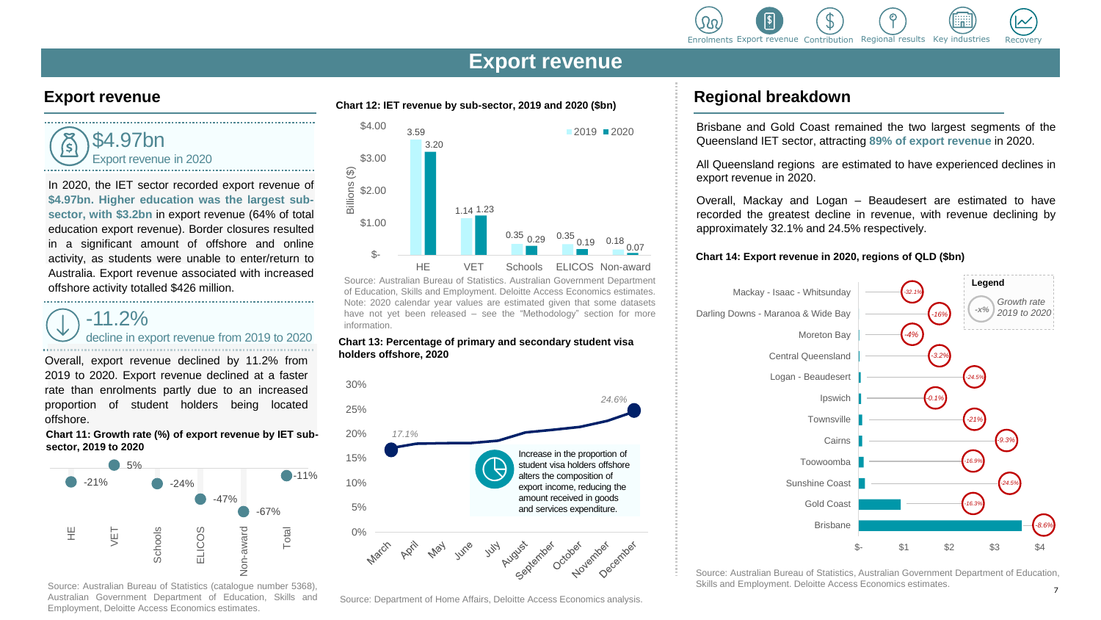

# **Export revenue**



In 2020, the IET sector recorded export revenue of **\$4.97bn. Higher education was the largest subsector, with \$3.2bn** in export revenue (64% of total education export revenue). Border closures resulted in a significant amount of offshore and online activity, as students were unable to enter/return to Australia. Export revenue associated with increased offshore activity totalled \$426 million.

# $-11.2\%$ decline in export revenue from 2019 to 2020

Overall, export revenue declined by 11.2% from 2019 to 2020. Export revenue declined at a faster rate than enrolments partly due to an increased proportion of student holders being located offshore.

**Chart 11: Growth rate (%) of export revenue by IET subsector, 2019 to 2020** 



Source: Australian Bureau of Statistics (catalogue number 5368), Australian Government Department of Education, Skills and Employment, Deloitte Access Economics estimates.

# **Export revenue Regional breakdown Chart 12: IET revenue by sub-sector, 2019 and 2020 (\$bn) Regional breakdown**



Source: Australian Bureau of Statistics. Australian Government Department of Education, Skills and Employment. Deloitte Access Economics estimates. Note: 2020 calendar year values are estimated given that some datasets have not yet been released – see the "Methodology" section for more information.

#### **Chart 13: Percentage of primary and secondary student visa holders offshore, 2020**



#### Source: Department of Home Affairs, Deloitte Access Economics analysis.

Brisbane and Gold Coast remained the two largest segments of the Queensland IET sector, attracting **89% of export revenue** in 2020.

All Queensland regions are estimated to have experienced declines in export revenue in 2020.

Overall, Mackay and Logan – Beaudesert are estimated to have recorded the greatest decline in revenue, with revenue declining by approximately 32.1% and 24.5% respectively.

#### **Chart 14: Export revenue in 2020, regions of QLD (\$bn)**



Source: Australian Bureau of Statistics, Australian Government Department of Education, Skills and Employment. Deloitte Access Economics estimates.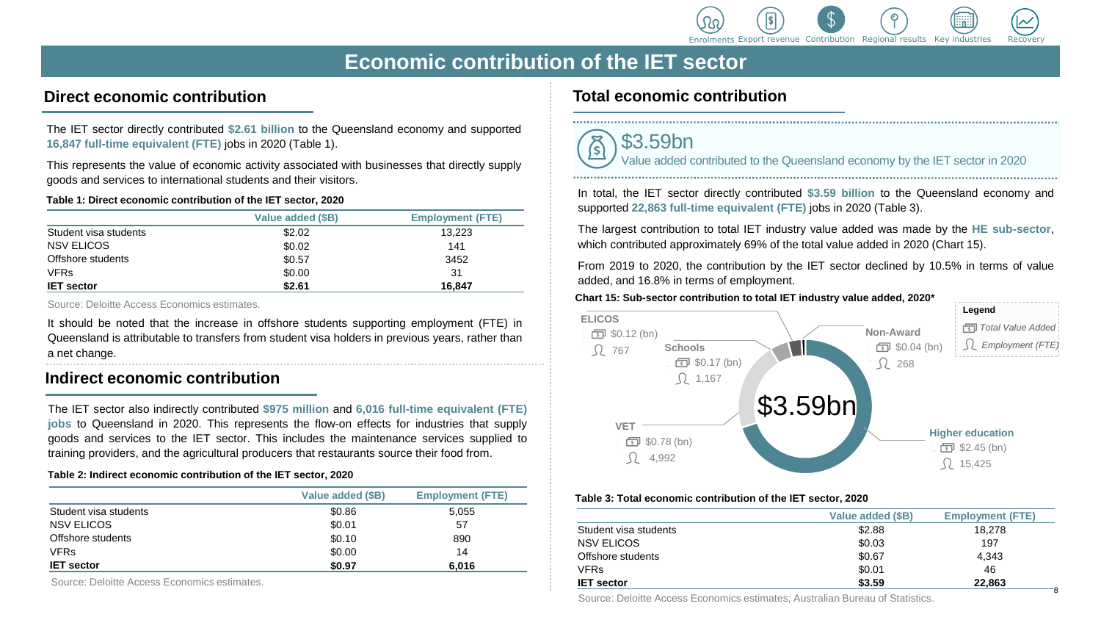

# **Economic contribution of the IET sector**

# **Direct economic contribution**

The IET sector directly contributed **\$2.61 billion** to the Queensland economy and supported **16,847 full-time equivalent (FTE)** jobs in 2020 (Table 1).

This represents the value of economic activity associated with businesses that directly supply goods and services to international students and their visitors.

#### **Table 1: Direct economic contribution of the IET sector, 2020**

|                       | Value added (\$B) | <b>Employment (FTE)</b> |
|-----------------------|-------------------|-------------------------|
| Student visa students | \$2.02            | 13,223                  |
| NSV ELICOS            | \$0.02            | 141                     |
| Offshore students     | \$0.57            | 3452                    |
| <b>VFRs</b>           | \$0.00            | 31                      |
| <b>IET sector</b>     | \$2.61            | 16.847                  |

Source: Deloitte Access Economics estimates.

It should be noted that the increase in offshore students supporting employment (FTE) in Queensland is attributable to transfers from student visa holders in previous years, rather than a net change.

### **Indirect economic contribution**

The IET sector also indirectly contributed **\$975 million** and **6,016 full-time equivalent (FTE) jobs** to Queensland in 2020. This represents the flow-on effects for industries that supply goods and services to the IET sector. This includes the maintenance services supplied to training providers, and the agricultural producers that restaurants source their food from.

#### **Table 2: Indirect economic contribution of the IET sector, 2020**

|                       | Value added (\$B) | <b>Employment (FTE)</b> |
|-----------------------|-------------------|-------------------------|
| Student visa students | \$0.86            | 5.055                   |
| <b>NSV ELICOS</b>     | \$0.01            | 57                      |
| Offshore students     | \$0.10            | 890                     |
| <b>VFRs</b>           | \$0.00            | 14                      |
| <b>IET</b> sector     | \$0.97            | 6,016                   |

Source: Deloitte Access Economics estimates.

### **Total economic contribution**



In total, the IET sector directly contributed **\$3.59 billion** to the Queensland economy and supported **22,863 full-time equivalent (FTE)** jobs in 2020 (Table 3).

The largest contribution to total IET industry value added was made by the **HE sub-sector**, which contributed approximately 69% of the total value added in 2020 (Chart 15).

From 2019 to 2020, the contribution by the IET sector declined by 10.5% in terms of value added, and 16.8% in terms of employment.

#### **Chart 15: Sub-sector contribution to total IET industry value added, 2020\***



#### **Table 3: Total economic contribution of the IET sector, 2020**

|                       | Value added (\$B) | <b>Employment (FTE)</b> |
|-----------------------|-------------------|-------------------------|
| Student visa students | \$2.88            | 18,278                  |
| <b>NSV ELICOS</b>     | \$0.03            | 197                     |
| Offshore students     | \$0.67            | 4.343                   |
| VFRs                  | \$0.01            | 46                      |
| <b>IET</b> sector     | \$3.59            | 22,863                  |

Source: Deloitte Access Economics estimates; Australian Bureau of Statistics.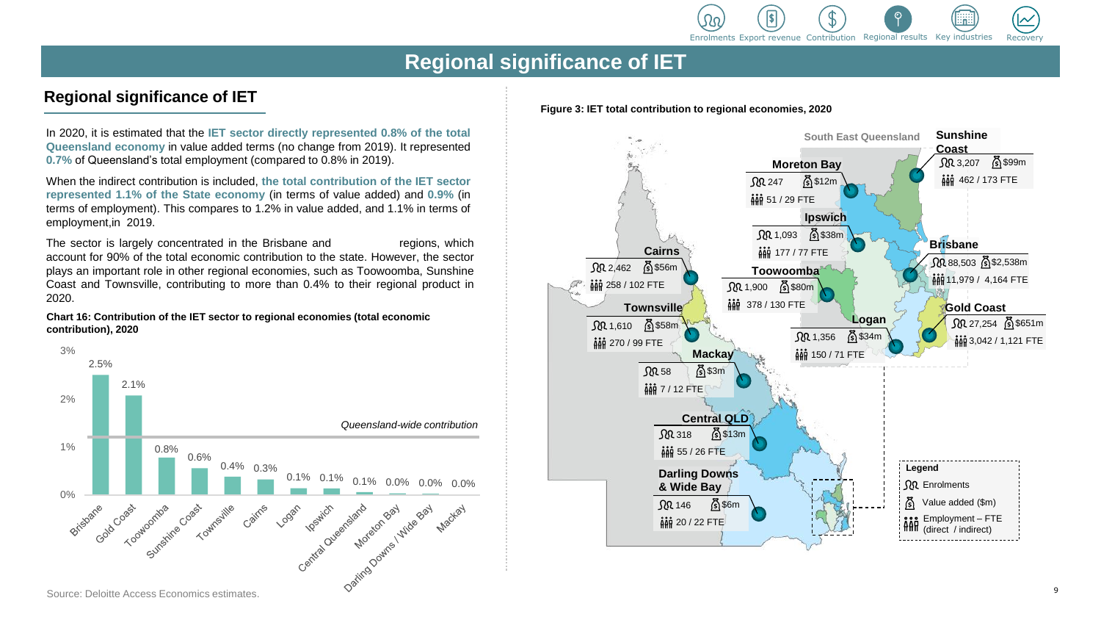

# **Regional significance of IET**

# **Regional significance of IET**

In 2020, it is estimated that the **IET sector directly represented 0.8% of the total Queensland economy** in value added terms (no change from 2019). It represented **0.7%** of Queensland's total employment (compared to 0.8% in 2019).

When the indirect contribution is included, **the total contribution of the IET sector represented 1.1% of the State economy** (in terms of value added) and **0.9%** (in terms of employment). This compares to 1.2% in value added, and 1.1% in terms of employment,in 2019.

The sector is largely concentrated in the Brisbane and \*ROG&RDVk gions, which account for 90% of the total economic contribution to the state. However, the sector plays an important role in other regional economies, such as Toowoomba, Sunshine Coast and Townsville, contributing to more than 0.4% to their regional product in 2020.

**Chart 16: Contribution of the IET sector to regional economies (total economic contribution), 2020**



#### **Figure 3: IET total contribution to regional economies, 2020**

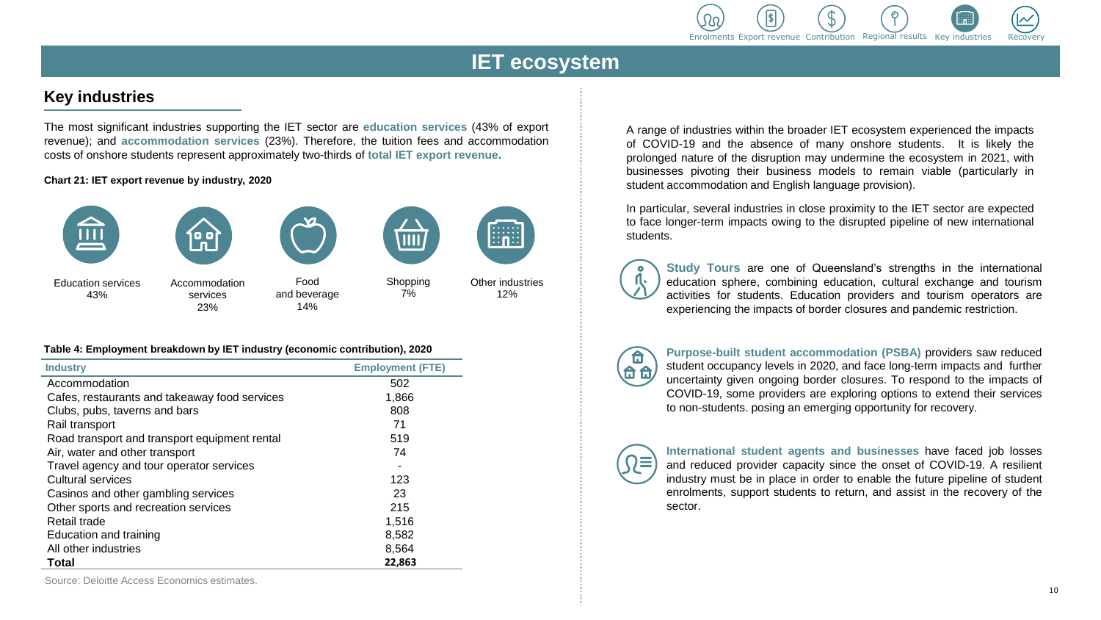

# **IET ecosystem**

# **Key industries**

The most significant industries supporting the IET sector are **education services** (43% of export revenue); and **accommodation services** (23%). Therefore, the tuition fees and accommodation costs of onshore students represent approximately two-thirds of **total IET export revenue.**

#### **Chart 21: IET export revenue by industry, 2020**



23%

and beverage 14%

Other industries 12%

.......<br>∷n∷

Shopping 7%

 $III.$ 

#### **Table 4: Employment breakdown by IET industry (economic contribution), 2020**

| <b>Industry</b>                               | <b>Employment (FTE)</b> |
|-----------------------------------------------|-------------------------|
| Accommodation                                 | 502                     |
| Cafes, restaurants and takeaway food services | 1,866                   |
| Clubs, pubs, taverns and bars                 | 808                     |
| Rail transport                                | 71                      |
| Road transport and transport equipment rental | 519                     |
| Air, water and other transport                | 74                      |
| Travel agency and tour operator services      |                         |
| Cultural services                             | 123                     |
| Casinos and other gambling services           | 23                      |
| Other sports and recreation services          | 215                     |
| Retail trade                                  | 1,516                   |
| Education and training                        | 8,582                   |
| All other industries                          | 8,564                   |
| Total                                         | 22,863                  |

A range of industries within the broader IET ecosystem experienced the impacts of COVID-19 and the absence of many onshore students. It is likely the prolonged nature of the disruption may undermine the ecosystem in 2021, with businesses pivoting their business models to remain viable (particularly in student accommodation and English language provision).

In particular, several industries in close proximity to the IET sector are expected to face longer-term impacts owing to the disrupted pipeline of new international students.

**Study Tours** are one of Queensland's strengths in the international education sphere, combining education, cultural exchange and tourism activities for students. Education providers and tourism operators are experiencing the impacts of border closures and pandemic restriction.



**Purpose-built student accommodation (PSBA)** providers saw reduced student occupancy levels in 2020, and face long-term impacts and further uncertainty given ongoing border closures. To respond to the impacts of COVID-19, some providers are exploring options to extend their services to non-students. posing an emerging opportunity for recovery.



**International student agents and businesses** have faced job losses and reduced provider capacity since the onset of COVID-19. A resilient industry must be in place in order to enable the future pipeline of student enrolments, support students to return, and assist in the recovery of the sector.

Source: Deloitte Access Economics estimates.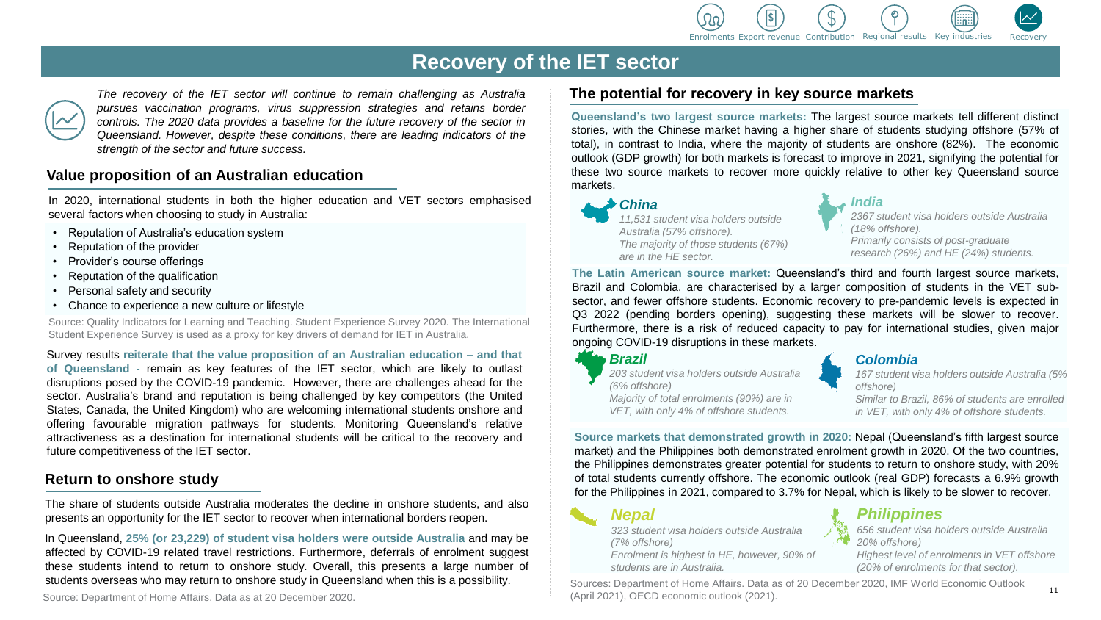

*India*

# **Recovery of the IET sector**



*The recovery of the IET sector will continue to remain challenging as Australia pursues vaccination programs, virus suppression strategies and retains border controls. The 2020 data provides a baseline for the future recovery of the sector in Queensland. However, despite these conditions, there are leading indicators of the strength of the sector and future success.*

#### **Value proposition of an Australian education**

In 2020, international students in both the higher education and VET sectors emphasised several factors when choosing to study in Australia:

- Reputation of Australia's education system
- Reputation of the provider
- Provider's course offerings
- Reputation of the qualification
- Personal safety and security
- Chance to experience a new culture or lifestyle

Source: Quality Indicators for Learning and Teaching. Student Experience Survey 2020. The International Student Experience Survey is used as a proxy for key drivers of demand for IET in Australia.

Survey results **reiterate that the value proposition of an Australian education – and that of Queensland -** remain as key features of the IET sector, which are likely to outlast disruptions posed by the COVID-19 pandemic. However, there are challenges ahead for the sector. Australia's brand and reputation is being challenged by key competitors (the United States, Canada, the United Kingdom) who are welcoming international students onshore and offering favourable migration pathways for students. Monitoring Queensland's relative attractiveness as a destination for international students will be critical to the recovery and future competitiveness of the IET sector.

### **Return to onshore study**

The share of students outside Australia moderates the decline in onshore students, and also presents an opportunity for the IET sector to recover when international borders reopen.

In Queensland, **25% (or 23,229) of student visa holders were outside Australia** and may be affected by COVID-19 related travel restrictions. Furthermore, deferrals of enrolment suggest these students intend to return to onshore study. Overall, this presents a large number of students overseas who may return to onshore study in Queensland when this is a possibility.

Source: Department of Home Affairs. Data as at 20 December 2020.

#### **The potential for recovery in key source markets**

**Queensland's two largest source markets:** The largest source markets tell different distinct stories, with the Chinese market having a higher share of students studying offshore (57% of total), in contrast to India, where the majority of students are onshore (82%). The economic outlook (GDP growth) for both markets is forecast to improve in 2021, signifying the potential for these two source markets to recover more quickly relative to other key Queensland source markets.

#### *China*

*11,531 student visa holders outside Australia (57% offshore). The majority of those students (67%) are in the HE sector.*

*2367 student visa holders outside Australia (18% offshore). Primarily consists of post-graduate research (26%) and HE (24%) students.*

**The Latin American source market:** Queensland's third and fourth largest source markets, Brazil and Colombia, are characterised by a larger composition of students in the VET subsector, and fewer offshore students. Economic recovery to pre-pandemic levels is expected in Q3 2022 (pending borders opening), suggesting these markets will be slower to recover. Furthermore, there is a risk of reduced capacity to pay for international studies, given major ongoing COVID-19 disruptions in these markets.

#### *Brazil*

*203 student visa holders outside Australia (6% offshore) Majority of total enrolments (90%) are in VET, with only 4% of offshore students.*

#### *Colombia*

*167 student visa holders outside Australia (5% offshore)*

*Similar to Brazil, 86% of students are enrolled in VET, with only 4% of offshore students.* 

**Source markets that demonstrated growth in 2020:** Nepal (Queensland's fifth largest source market) and the Philippines both demonstrated enrolment growth in 2020. Of the two countries, the Philippines demonstrates greater potential for students to return to onshore study, with 20% of total students currently offshore. The economic outlook (real GDP) forecasts a 6.9% growth for the Philippines in 2021, compared to 3.7% for Nepal, which is likely to be slower to recover.

# *Nepal*

*323 student visa holders outside Australia (7% offshore) Enrolment is highest in HE, however, 90% of students are in Australia.* 

### *Philippines*



*Highest level of enrolments in VET offshore (20% of enrolments for that sector).*

Sources: Department of Home Affairs. Data as of 20 December 2020, IMF World Economic Outlook (April 2021), OECD economic outlook (2021).